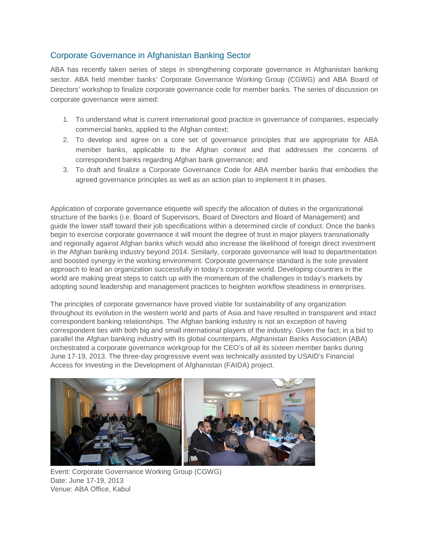## Corporate Governance in Afghanistan Banking Sector

ABA has recently taken series of steps in strengthening corporate governance in Afghanistan banking sector. ABA held member banks' Corporate Governance Working Group (CGWG) and ABA Board of Directors' workshop to finalize corporate governance code for member banks. The series of discussion on corporate governance were aimed:

- 1. To understand what is current international good practice in governance of companies, especially commercial banks, applied to the Afghan context;
- 2. To develop and agree on a core set of governance principles that are appropriate for ABA member banks, applicable to the Afghan context and that addresses the concerns of correspondent banks regarding Afghan bank governance; and
- 3. To draft and finalize a Corporate Governance Code for ABA member banks that embodies the agreed governance principles as well as an action plan to implement it in phases.

Application of corporate governance etiquette will specify the allocation of duties in the organizational structure of the banks (i.e. Board of Supervisors, Board of Directors and Board of Management) and guide the lower staff toward their job specifications within a determined circle of conduct. Once the banks begin to exercise corporate governance it will mount the degree of trust in major players transnationally and regionally against Afghan banks which would also increase the likelihood of foreign direct investment in the Afghan banking industry beyond 2014. Similarly, corporate governance will lead to departmentation and boosted synergy in the working environment. Corporate governance standard is the sole prevalent approach to lead an organization successfully in today's corporate world. Developing countries in the world are making great steps to catch up with the momentum of the challenges in today's markets by adopting sound leadership and management practices to heighten workflow steadiness in enterprises.

The principles of corporate governance have proved viable for sustainability of any organization throughout its evolution in the western world and parts of Asia and have resulted in transparent and intact correspondent banking relationships. The Afghan banking industry is not an exception of having correspondent ties with both big and small international players of the industry. Given the fact; in a bid to parallel the Afghan banking industry with its global counterparts, Afghanistan Banks Association (ABA) orchestrated a corporate governance workgroup for the CEO's of all its sixteen member banks during June 17-19, 2013. The three-day progressive event was technically assisted by USAID's Financial Access for Investing in the Development of Afghanistan (FAIDA) project.



Event: Corporate Governance Working Group (CGWG) Date: June 17-19, 2013 Venue: ABA Office, Kabul